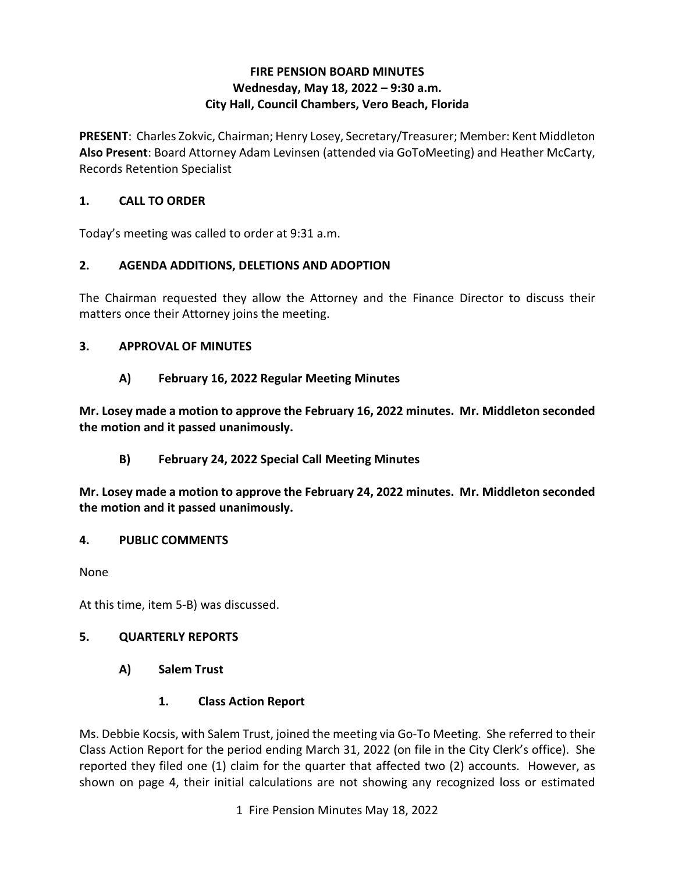### **FIRE PENSION BOARD MINUTES Wednesday, May 18, 2022 – 9:30 a.m. City Hall, Council Chambers, Vero Beach, Florida**

**PRESENT**: Charles Zokvic, Chairman; Henry Losey, Secretary/Treasurer; Member: Kent Middleton **Also Present**: Board Attorney Adam Levinsen (attended via GoToMeeting) and Heather McCarty, Records Retention Specialist

### **1. CALL TO ORDER**

Today's meeting was called to order at 9:31 a.m.

# **2. AGENDA ADDITIONS, DELETIONS AND ADOPTION**

 The Chairman requested they allow the Attorney and the Finance Director to discuss their matters once their Attorney joins the meeting.

### **3. APPROVAL OF MINUTES**

# **A) February 16, 2022 Regular Meeting Minutes**

**Mr. Losey made a motion to approve the February 16, 2022 minutes. Mr. Middleton seconded the motion and it passed unanimously.** 

# **B) February 24, 2022 Special Call Meeting Minutes**

**Mr. Losey made a motion to approve the February 24, 2022 minutes. Mr. Middleton seconded the motion and it passed unanimously.** 

#### **4. PUBLIC COMMENTS**

None

At this time, item 5-B) was discussed.

# **5. QUARTERLY REPORTS**

**A) Salem Trust** 

# **1. Class Action Report**

 Class Action Report for the period ending March 31, 2022 (on file in the City Clerk's office). She reported they filed one (1) claim for the quarter that affected two (2) accounts. However, as shown on page 4, their initial calculations are not showing any recognized loss or estimated Ms. Debbie Kocsis, with Salem Trust, joined the meeting via Go-To Meeting. She referred to their

1 Fire Pension Minutes May 18, 2022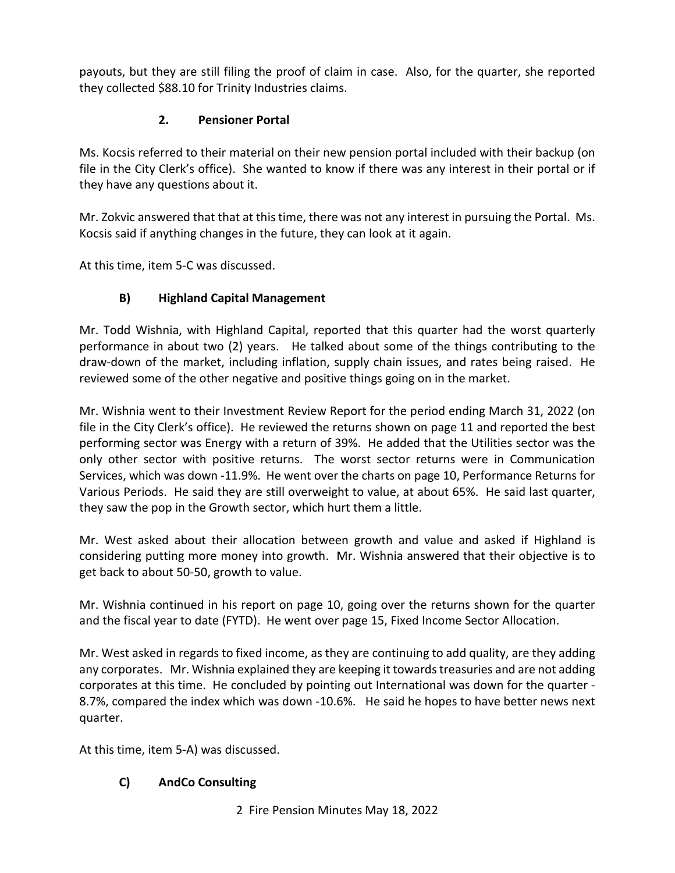payouts, but they are still filing the proof of claim in case. Also, for the quarter, she reported they collected \$88.10 for Trinity Industries claims.

# **2. Pensioner Portal**

 Ms. Kocsis referred to their material on their new pension portal included with their backup (on file in the City Clerk's office). She wanted to know if there was any interest in their portal or if they have any questions about it.

 Mr. Zokvic answered that that at this time, there was not any interest in pursuing the Portal. Ms. Kocsis said if anything changes in the future, they can look at it again.

At this time, item 5-C was discussed.

# **B) Highland Capital Management**

 Mr. Todd Wishnia, with Highland Capital, reported that this quarter had the worst quarterly performance in about two (2) years. He talked about some of the things contributing to the draw-down of the market, including inflation, supply chain issues, and rates being raised. He reviewed some of the other negative and positive things going on in the market.

 file in the City Clerk's office). He reviewed the returns shown on page 11 and reported the best performing sector was Energy with a return of 39%. He added that the Utilities sector was the only other sector with positive returns. The worst sector returns were in Communication Services, which was down -11.9%. He went over the charts on page 10, Performance Returns for they saw the pop in the Growth sector, which hurt them a little. Mr. Wishnia went to their Investment Review Report for the period ending March 31, 2022 (on Various Periods. He said they are still overweight to value, at about 65%. He said last quarter,

 get back to about 50-50, growth to value. Mr. West asked about their allocation between growth and value and asked if Highland is considering putting more money into growth. Mr. Wishnia answered that their objective is to

 Mr. Wishnia continued in his report on page 10, going over the returns shown for the quarter and the fiscal year to date (FYTD). He went over page 15, Fixed Income Sector Allocation.

 Mr. West asked in regards to fixed income, as they are continuing to add quality, are they adding any corporates. Mr. Wishnia explained they are keeping it towards treasuries and are not adding corporates at this time. He concluded by pointing out International was down for the quarter - 8.7%, compared the index which was down -10.6%. He said he hopes to have better news next quarter.

At this time, item 5-A) was discussed.

# **C) AndCo Consulting**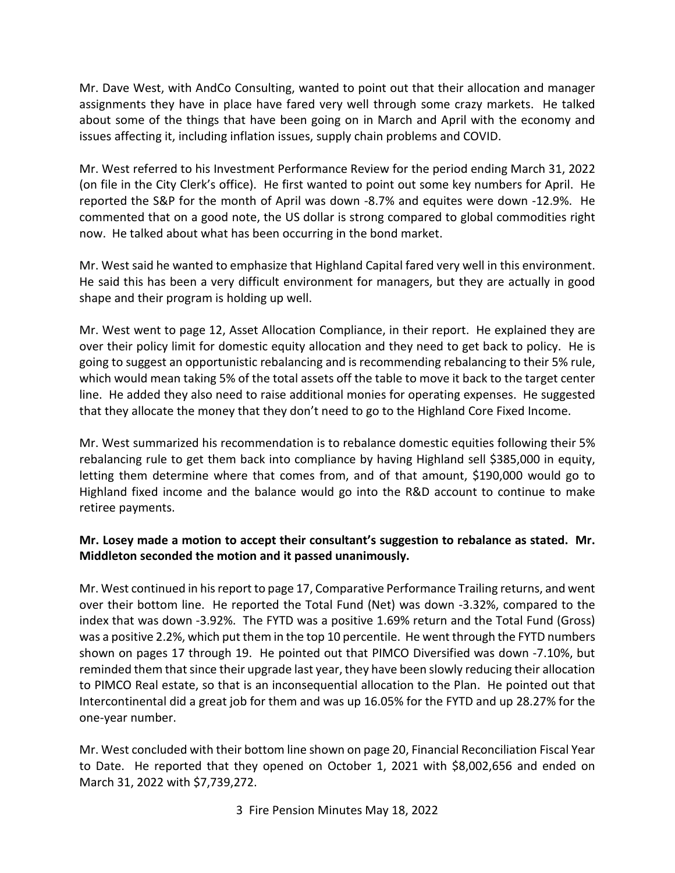assignments they have in place have fared very well through some crazy markets. He talked issues affecting it, including inflation issues, supply chain problems and COVID. Mr. Dave West, with AndCo Consulting, wanted to point out that their allocation and manager about some of the things that have been going on in March and April with the economy and

issues affecting it, including inflation issues, supply chain problems and COVID.<br>Mr. West referred to his Investment Performance Review for the period ending March 31, 2022 (on file in the City Clerk's office). He first wanted to point out some key numbers for April. He reported the S&P for the month of April was down -8.7% and equites were down -12.9%. He now. He talked about what has been occurring in the bond market. commented that on a good note, the US dollar is strong compared to global commodities right

shape and their program is holding up well. now. He talked about what has been occurring in the bond market.<br>Mr. West said he wanted to emphasize that Highland Capital fared very well in this environment.<br>He said this has been a very difficult environment for manage

shape and their program is holding up well.<br>Mr. West went to page 12, Asset Allocation Compliance, in their report. He explained they are line. He added they also need to raise additional monies for operating expenses. He suggested over their policy limit for domestic equity allocation and they need to get back to policy. He is going to suggest an opportunistic rebalancing and is recommending rebalancing to their 5% rule, which would mean taking 5% of the total assets off the table to move it back to the target center that they allocate the money that they don't need to go to the Highland Core Fixed Income.

 Mr. West summarized his recommendation is to rebalance domestic equities following their 5% letting them determine where that comes from, and of that amount, \$190,000 would go to Highland fixed income and the balance would go into the R&D account to continue to make rebalancing rule to get them back into compliance by having Highland sell \$385,000 in equity, retiree payments.

### **Middleton seconded the motion and it passed unanimously. Mr. Losey made a motion to accept their consultant's suggestion to rebalance as stated. Mr.**

 Mr. West continued in his report to page 17, Comparative Performance Trailing returns, and went over their bottom line. He reported the Total Fund (Net) was down -3.32%, compared to the was a positive 2.2%, which put them in the top 10 percentile. He went through the FYTD numbers shown on pages 17 through 19. He pointed out that PIMCO Diversified was down -7.10%, but Intercontinental did a great job for them and was up 16.05% for the FYTD and up 28.27% for the one-year number. index that was down -3.92%. The FYTD was a positive 1.69% return and the Total Fund (Gross) reminded them that since their upgrade last year, they have been slowly reducing their allocation to PIMCO Real estate, so that is an inconsequential allocation to the Plan. He pointed out that

 to Date. He reported that they opened on October 1, 2021 with \$8,002,656 and ended on Mr. West concluded with their bottom line shown on page 20, Financial Reconciliation Fiscal Year March 31, 2022 with \$7,739,272.

3 Fire Pension Minutes May 18, 2022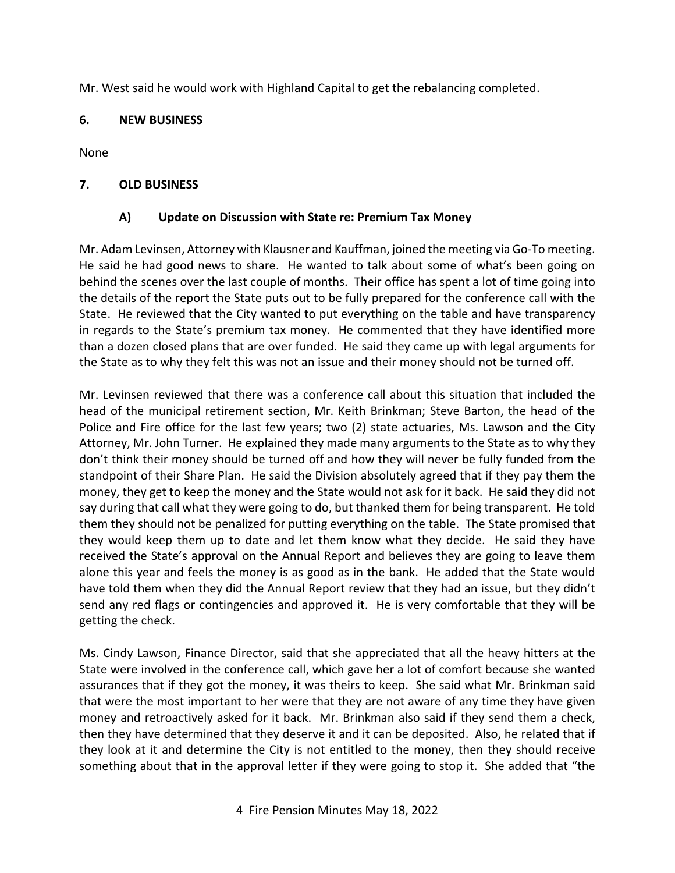Mr. West said he would work with Highland Capital to get the rebalancing completed.

#### **6. NEW BUSINESS**

None

#### **7. OLD BUSINESS**

#### **A) Update on Discussion with State re: Premium Tax Money**

 Mr. Adam Levinsen, Attorney with Klausner and Kauffman, joined the meeting via Go-To meeting. behind the scenes over the last couple of months. Their office has spent a lot of time going into the details of the report the State puts out to be fully prepared for the conference call with the State. He reviewed that the City wanted to put everything on the table and have transparency than a dozen closed plans that are over funded. He said they came up with legal arguments for the State as to why they felt this was not an issue and their money should not be turned off. He said he had good news to share. He wanted to talk about some of what's been going on in regards to the State's premium tax money. He commented that they have identified more

 head of the municipal retirement section, Mr. Keith Brinkman; Steve Barton, the head of the Police and Fire office for the last few years; two (2) state actuaries, Ms. Lawson and the City Attorney, Mr. John Turner. He explained they made many arguments to the State as to why they standpoint of their Share Plan. He said the Division absolutely agreed that if they pay them the money, they get to keep the money and the State would not ask for it back. He said they did not them they should not be penalized for putting everything on the table. The State promised that received the State's approval on the Annual Report and believes they are going to leave them alone this year and feels the money is as good as in the bank. He added that the State would have told them when they did the Annual Report review that they had an issue, but they didn't send any red flags or contingencies and approved it. He is very comfortable that they will be Mr. Levinsen reviewed that there was a conference call about this situation that included the don't think their money should be turned off and how they will never be fully funded from the say during that call what they were going to do, but thanked them for being transparent. He told they would keep them up to date and let them know what they decide. He said they have getting the check.

 Ms. Cindy Lawson, Finance Director, said that she appreciated that all the heavy hitters at the then they have determined that they deserve it and it can be deposited. Also, he related that if something about that in the approval letter if they were going to stop it. She added that "the State were involved in the conference call, which gave her a lot of comfort because she wanted assurances that if they got the money, it was theirs to keep. She said what Mr. Brinkman said that were the most important to her were that they are not aware of any time they have given money and retroactively asked for it back. Mr. Brinkman also said if they send them a check, they look at it and determine the City is not entitled to the money, then they should receive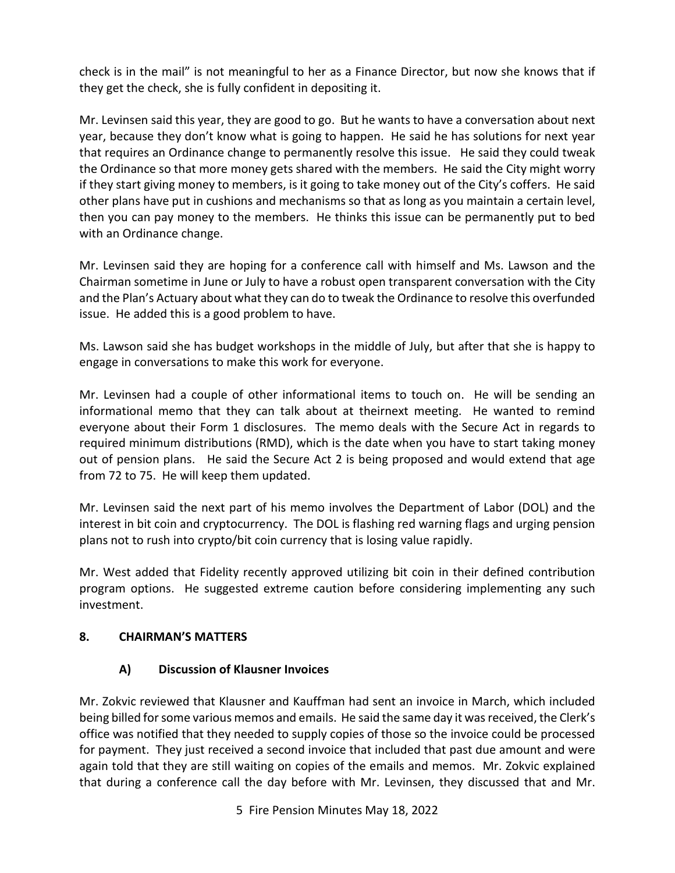check is in the mail" is not meaningful to her as a Finance Director, but now she knows that if they get the check, she is fully confident in depositing it.

 Mr. Levinsen said this year, they are good to go. But he wants to have a conversation about next year, because they don't know what is going to happen. He said he has solutions for next year that requires an Ordinance change to permanently resolve this issue. He said they could tweak the Ordinance so that more money gets shared with the members. He said the City might worry if they start giving money to members, is it going to take money out of the City's coffers. He said then you can pay money to the members. He thinks this issue can be permanently put to bed with an Ordinance change. other plans have put in cushions and mechanisms so that as long as you maintain a certain level,

 and the Plan's Actuary about what they can do to tweak the Ordinance to resolve this overfunded Mr. Levinsen said they are hoping for a conference call with himself and Ms. Lawson and the Chairman sometime in June or July to have a robust open transparent conversation with the City issue. He added this is a good problem to have.

 Ms. Lawson said she has budget workshops in the middle of July, but after that she is happy to engage in conversations to make this work for everyone.

engage in conversations to make this work for everyone.<br>Mr. Levinsen had a couple of other informational items to touch on. He will be sending an informational memo that they can talk about at theirnext meeting. He wanted to remind everyone about their Form 1 disclosures. The memo deals with the Secure Act in regards to required minimum distributions (RMD), which is the date when you have to start taking money out of pension plans. He said the Secure Act 2 is being proposed and would extend that age from 72 to 75. He will keep them updated.

 Mr. Levinsen said the next part of his memo involves the Department of Labor (DOL) and the interest in bit coin and cryptocurrency. The DOL is flashing red warning flags and urging pension plans not to rush into crypto/bit coin currency that is losing value rapidly.

 Mr. West added that Fidelity recently approved utilizing bit coin in their defined contribution program options. He suggested extreme caution before considering implementing any such investment.

#### **8. CHAIRMAN'S MATTERS**

# **A) Discussion of Klausner Invoices**

 being billed for some various memos and emails. He said the same day it was received, the Clerk's for payment. They just received a second invoice that included that past due amount and were Mr. Zokvic reviewed that Klausner and Kauffman had sent an invoice in March, which included office was notified that they needed to supply copies of those so the invoice could be processed again told that they are still waiting on copies of the emails and memos. Mr. Zokvic explained that during a conference call the day before with Mr. Levinsen, they discussed that and Mr.